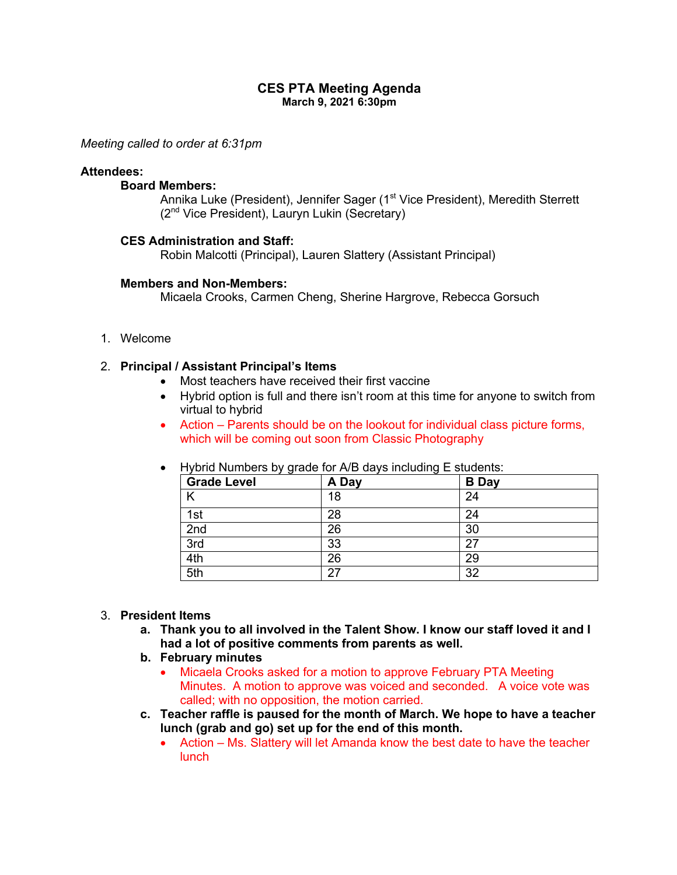# **CES PTA Meeting Agenda March 9, 2021 6:30pm**

*Meeting called to order at 6:31pm*

# **Attendees:**

## **Board Members:**

Annika Luke (President), Jennifer Sager (1<sup>st</sup> Vice President), Meredith Sterrett (2nd Vice President), Lauryn Lukin (Secretary)

### **CES Administration and Staff:**

Robin Malcotti (Principal), Lauren Slattery (Assistant Principal)

#### **Members and Non-Members:**

Micaela Crooks, Carmen Cheng, Sherine Hargrove, Rebecca Gorsuch

1. Welcome

# 2. **Principal / Assistant Principal's Items**

- Most teachers have received their first vaccine
- Hybrid option is full and there isn't room at this time for anyone to switch from virtual to hybrid
- Action Parents should be on the lookout for individual class picture forms, which will be coming out soon from Classic Photography

| <b>Grade Level</b> | A Day | <b>B</b> Day |
|--------------------|-------|--------------|
|                    | 18    | 24           |
| 1st                | 28    | 24           |
| 2nd                | 26    | 30           |
| 3rd                | 33    | 27           |
| 4th                | 26    | 29           |
| 5th                | 27    | 32           |

• Hybrid Numbers by grade for A/B days including E students:

## 3. **President Items**

- **a. Thank you to all involved in the Talent Show. I know our staff loved it and I had a lot of positive comments from parents as well.**
- **b. February minutes**
	- Micaela Crooks asked for a motion to approve February PTA Meeting Minutes. A motion to approve was voiced and seconded. A voice vote was called; with no opposition, the motion carried.
- **c. Teacher raffle is paused for the month of March. We hope to have a teacher lunch (grab and go) set up for the end of this month.**
	- Action Ms. Slattery will let Amanda know the best date to have the teacher lunch